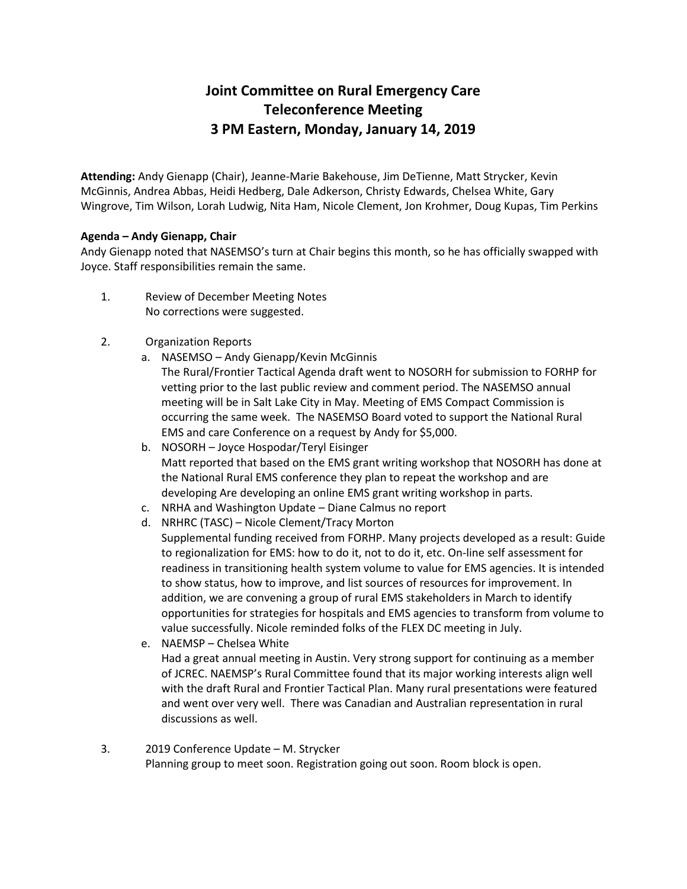## **Joint Committee on Rural Emergency Care Teleconference Meeting 3 PM Eastern, Monday, January 14, 2019**

**Attending:** Andy Gienapp (Chair), Jeanne-Marie Bakehouse, Jim DeTienne, Matt Strycker, Kevin McGinnis, Andrea Abbas, Heidi Hedberg, Dale Adkerson, Christy Edwards, Chelsea White, Gary Wingrove, Tim Wilson, Lorah Ludwig, Nita Ham, Nicole Clement, Jon Krohmer, Doug Kupas, Tim Perkins

## **Agenda – Andy Gienapp, Chair**

Andy Gienapp noted that NASEMSO's turn at Chair begins this month, so he has officially swapped with Joyce. Staff responsibilities remain the same.

- 1. Review of December Meeting Notes No corrections were suggested.
- 2. Organization Reports
	- a. NASEMSO Andy Gienapp/Kevin McGinnis The Rural/Frontier Tactical Agenda draft went to NOSORH for submission to FORHP for vetting prior to the last public review and comment period. The NASEMSO annual meeting will be in Salt Lake City in May. Meeting of EMS Compact Commission is occurring the same week. The NASEMSO Board voted to support the National Rural EMS and care Conference on a request by Andy for \$5,000.
	- b. NOSORH Joyce Hospodar/Teryl Eisinger Matt reported that based on the EMS grant writing workshop that NOSORH has done at the National Rural EMS conference they plan to repeat the workshop and are developing Are developing an online EMS grant writing workshop in parts.
	- c. NRHA and Washington Update Diane Calmus no report
	- d. NRHRC (TASC) Nicole Clement/Tracy Morton Supplemental funding received from FORHP. Many projects developed as a result: Guide to regionalization for EMS: how to do it, not to do it, etc. On-line self assessment for readiness in transitioning health system volume to value for EMS agencies. It is intended to show status, how to improve, and list sources of resources for improvement. In addition, we are convening a group of rural EMS stakeholders in March to identify opportunities for strategies for hospitals and EMS agencies to transform from volume to value successfully. Nicole reminded folks of the FLEX DC meeting in July.
	- e. NAEMSP Chelsea White Had a great annual meeting in Austin. Very strong support for continuing as a member of JCREC. NAEMSP's Rural Committee found that its major working interests align well with the draft Rural and Frontier Tactical Plan. Many rural presentations were featured and went over very well. There was Canadian and Australian representation in rural discussions as well.
- 3. 2019 Conference Update M. Strycker Planning group to meet soon. Registration going out soon. Room block is open.